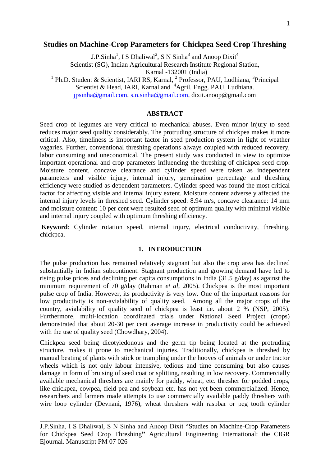## **Studies on Machine-Crop Parameters for Chickpea Seed Crop Threshing**

J.P.Sinha<sup>1</sup>, I S Dhaliwal<sup>2</sup>, S N Sinha<sup>3</sup> and Anoop Dixit<sup>4</sup> Scientist (SG), Indian Agricultural Research Institute Regional Station, Karnal -132001 (India)

<sup>1</sup> Ph.D. Student & Scientist, IARI RS, Karnal, <sup>2</sup> Professor, PAU, Ludhiana, <sup>3</sup> Principal Scientist & Head, IARI, Karnal and <sup>4</sup>Agril. Engg. PAU, Ludhiana.

[jpsinha@gmail.com,](mailto:jpsinha@gmail.com) [s.n.sinha@gmail.com,](mailto:s.n.sinha@gmail.com) dixit.anoop@gmail.com

# **ABSTRACT**

Seed crop of legumes are very critical to mechanical abuses. Even minor injury to seed reduces major seed quality considerably. The protruding structure of chickpea makes it more critical. Also, timeliness is important factor in seed production system in light of weather vagaries. Further, conventional threshing operations always coupled with reduced recovery, labor consuming and uneconomical. The present study was conducted in view to optimize important operational and crop parameters influencing the threshing of chickpea seed crop. Moisture content, concave clearance and cylinder speed were taken as independent parameters and visible injury, internal injury, germination percentage and threshing efficiency were studied as dependent parameters. Cylinder speed was found the most critical factor for affecting visible and internal injury extent. Moisture content adversely affected the internal injury levels in threshed seed. Cylinder speed: 8.94 m/s, concave clearance: 14 mm and moisture content: 10 per cent were resulted seed of optimum quality with minimal visible and internal injury coupled with optimum threshing efficiency.

**Keyword**: Cylinder rotation speed, internal injury, electrical conductivity, threshing, chickpea.

# **1. INTRODUCTION**

The pulse production has remained relatively stagnant but also the crop area has declined substantially in Indian subcontinent. Stagnant production and growing demand have led to rising pulse prices and declining per capita consumptions in India (31.5 g/day) as against the minimum requirement of 70 g/day (Rahman *et al*, 2005). Chickpea is the most important pulse crop of India. However, its productivity is very low. One of the important reasons for low productivity is non-avialability of quality seed. Among all the major crops of the country, avialability of quality seed of chickpea is least i.e. about 2 % (NSP, 2005). Furthermore, multi-location coordinated trials under National Seed Project (crops) demonstrated that about 20-30 per cent average increase in productivity could be achieved with the use of quality seed (Chowdhary, 2004).

Chickpea seed being dicotyledonous and the germ tip being located at the protruding structure, makes it prone to mechanical injuries. Traditionally, chickpea is threshed by manual beating of plants with stick or trampling under the hooves of animals or under tractor wheels which is not only labour intensive, tedious and time consuming but also causes damage in form of bruising of seed coat or splitting, resulting in low recovery. Commercially available mechanical threshers are mainly for paddy, wheat, etc. thresher for podded crops, like chickpea, cowpea, field pea and soybean etc. has not yet been commercialized. Hence, researchers and farmers made attempts to use commercially available paddy threshers with wire loop cylinder (Devnani, 1976), wheat threshers with raspbar or peg tooth cylinder

J.P.Sinha, I S Dhaliwal, S N Sinha and Anoop Dixit "Studies on Machine-Crop Parameters for Chickpea Seed Crop Threshing**"** Agricultural Engineering International: the CIGR Ejournal. Manuscript PM 07 026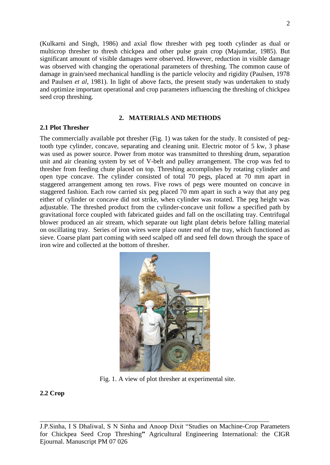(Kulkarni and Singh, 1986) and axial flow thresher with peg tooth cylinder as dual or multicrop thresher to thresh chickpea and other pulse grain crop (Majumdar, 1985). But significant amount of visible damages were observed. However, reduction in visible damage was observed with changing the operational parameters of threshing. The common cause of damage in grain/seed mechanical handling is the particle velocity and rigidity (Paulsen, 1978 and Paulsen *et al*, 1981). In light of above facts, the present study was undertaken to study and optimize important operational and crop parameters influencing the threshing of chickpea seed crop threshing.

## **2. MATERIALS AND METHODS**

## **2.1 Plot Thresher**

The commercially available pot thresher (Fig. 1) was taken for the study. It consisted of pegtooth type cylinder, concave, separating and cleaning unit. Electric motor of 5 kw, 3 phase was used as power source. Power from motor was transmitted to threshing drum, separation unit and air cleaning system by set of V-belt and pulley arrangement. The crop was fed to thresher from feeding chute placed on top. Threshing accomplishes by rotating cylinder and open type concave. The cylinder consisted of total 70 pegs, placed at 70 mm apart in staggered arrangement among ten rows. Five rows of pegs were mounted on concave in staggered fashion. Each row carried six peg placed 70 mm apart in such a way that any peg either of cylinder or concave did not strike, when cylinder was rotated. The peg height was adjustable. The threshed product from the cylinder-concave unit follow a specified path by gravitational force coupled with fabricated guides and fall on the oscillating tray. Centrifugal blower produced an air stream, which separate out light plant debris before falling material on oscillating tray. Series of iron wires were place outer end of the tray, which functioned as sieve. Coarse plant part coming with seed scalped off and seed fell down through the space of iron wire and collected at the bottom of thresher.



Fig. 1. A view of plot thresher at experimental site.

## **2.2 Crop**

J.P.Sinha, I S Dhaliwal, S N Sinha and Anoop Dixit "Studies on Machine-Crop Parameters for Chickpea Seed Crop Threshing**"** Agricultural Engineering International: the CIGR Ejournal. Manuscript PM 07 026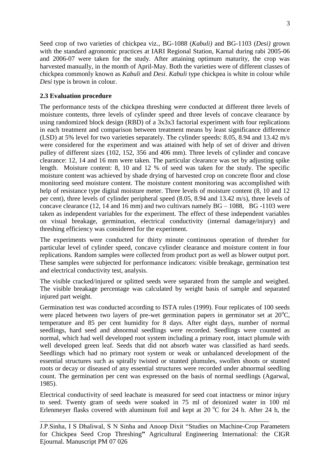Seed crop of two varieties of chickpea viz., BG-1088 (*Kabuli)* and BG-1103 (*Desi)* grown with the standard agronomic practices at IARI Regional Station, Karnal during rabi 2005-06 and 2006-07 were taken for the study. After attaining optimum maturity, the crop was harvested manually, in the month of April-May. Both the varieties were of different classes of chickpea commonly known as *Kabuli* and *Desi*. *Kabuli* type chickpea is white in colour while *Desi* type is brown in colour.

# **2.3 Evaluation procedure**

The performance tests of the chickpea threshing were conducted at different three levels of moisture contents, three levels of cylinder speed and three levels of concave clearance by using randomized block design (RBD) of a 3x3x3 factorial experiment with four replications in each treatment and comparison between treatment means by least significance difference (LSD) at 5% level for two varieties separately. The cylinder speeds: 8.05, 8.94 and 13.42 m/s were considered for the experiment and was attained with help of set of driver and driven pulley of different sizes (102, 152, 356 and 406 mm). Three levels of cylinder and concave clearance: 12, 14 and 16 mm were taken. The particular clearance was set by adjusting spike length. Moisture content: 8, 10 and 12 % of seed was taken for the study. The specific moisture content was achieved by shade drying of harvested crop on concrete floor and close monitoring seed moisture content. The moisture content monitoring was accomplished with help of resistance type digital moisture meter. Three levels of moisture content  $(8, 10, 10, 12)$ per cent), three levels of cylinder peripheral speed (8.05, 8.94 and 13.42 m/s), three levels of concave clearance (12, 14 and 16 mm) and two cultivars namely  $BG - 1088$ ,  $BG - 1103$  were taken as independent variables for the experiment. The effect of these independent variables on visual breakage, germination, electrical conductivity (internal damage/injury) and threshing efficiency was considered for the experiment.

The experiments were conducted for thirty minute continuous operation of thresher for particular level of cylinder speed, concave cylinder clearance and moisture content in four replications. Random samples were collected from product port as well as blower output port. These samples were subjected for performance indicators: visible breakage, germination test and electrical conductivity test, analysis.

The visible cracked/injured or splitted seeds were separated from the sample and weighed. The visible breakage percentage was calculated by weight basis of sample and separated injured part weight.

Germination test was conducted according to ISTA rules (1999). Four replicates of 100 seeds were placed between two layers of pre-wet germination papers in germinator set at  $20^{\circ}$ C, temperature and 85 per cent humidity for 8 days. After eight days, number of normal seedlings, hard seed and abnormal seedlings were recorded. Seedlings were counted as normal, which had well developed root system including a primary root, intact plumule with well developed green leaf. Seeds that did not absorb water was classified as hard seeds. Seedlings which had no primary root system or weak or unbalanced development of the essential structures such as spirally twisted or stunted plumules, swollen shoots or stunted roots or decay or diseased of any essential structures were recorded under abnormal seedling count. The germination per cent was expressed on the basis of normal seedlings (Agarwal, 1985).

Electrical conductivity of seed leachate is measured for seed coat intactness or minor injury to seed. Twenty gram of seeds were soaked in 75 ml of deionized water in 100 ml Erlenmeyer flasks covered with aluminum foil and kept at  $20^{\circ}$ C for 24 h. After 24 h, the

J.P.Sinha, I S Dhaliwal, S N Sinha and Anoop Dixit "Studies on Machine-Crop Parameters for Chickpea Seed Crop Threshing**"** Agricultural Engineering International: the CIGR Ejournal. Manuscript PM 07 026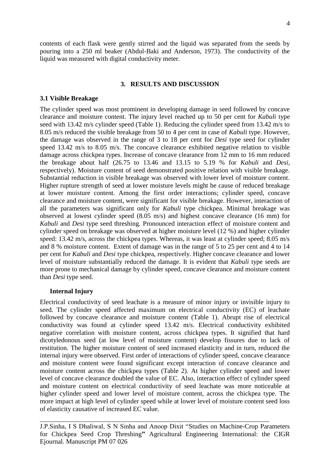contents of each flask were gently stirred and the liquid was separated from the seeds by pouring into a 250 ml beaker (Abdul-Baki and Anderson, 1973). The conductivity of the liquid was measured with digital conductivity meter.

## **3. RESULTS AND DISCUSSION**

## **3.1 Visible Breakage**

The cylinder speed was most prominent in developing damage in seed followed by concave clearance and moisture content. The injury level reached up to 50 per cent for *Kabuli* type seed with 13.42 m/s cylinder speed (Table 1). Reducing the cylinder speed from 13.42 m/s to 8.05 m/s reduced the visible breakage from 50 to 4 per cent in case of *Kabuli* type. However, the damage was observed in the range of 3 to 18 per cent for *Desi* type seed for cylinder speed 13.42 m/s to 8.05 m/s. The concave clearance exhibited negative relation to visible damage across chickpea types. Increase of concave clearance from 12 mm to 16 mm reduced the breakage about half (26.75 to 13.46 and 13.15 to 5.19 % for *Kabuli* and *Desi*, respectively). Moisture content of seed demonstrated positive relation with visible breakage. Substantial reduction in visible breakage was observed with lower level of moisture content. Higher rupture strength of seed at lower moisture levels might be cause of reduced breakage at lower moisture content. Among the first order interactions; cylinder speed, concave clearance and moisture content, were significant for visible breakage. However, interaction of all the parameters was significant only for *Kabuli* type chickpea. Minimal breakage was observed at lowest cylinder speed (8.05 m/s) and highest concave clearance (16 mm) for *Kabuli* and *Desi* type seed threshing. Pronounced interaction effect of moisture content and cylinder speed on breakage was observed at higher moisture level (12 %) and higher cylinder speed: 13.42 m/s, across the chickpea types. Whereas, it was least at cylinder speed; 8.05 m/s and 8 % moisture content. Extent of damage was in the range of 5 to 25 per cent and 4 to 14 per cent for *Kabuli* and *Desi* type chickpea, respectively. Higher concave clearance and lower level of moisture substantially reduced the damage. It is evident that *Kabuli* type seeds are more prone to mechanical damage by cylinder speed, concave clearance and moisture content than *Desi* type seed.

#### **Internal Injury**

Electrical conductivity of seed leachate is a measure of minor injury or invisible injury to seed. The cylinder speed affected maximum on electrical conductivity (EC) of leachate followed by concave clearance and moisture content (Table 1). Abrupt rise of electrical conductivity was found at cylinder speed 13.42 m/s. Electrical conductivity exhibited negative correlation with moisture content, across chickpea types. It signified that hard dicotyledonous seed (at low level of moisture content) develop fissures due to lack of restitution. The higher moisture content of seed increased elasticity and in turn, reduced the internal injury were observed. First order of interactions of cylinder speed, concave clearance and moisture content were found significant except interaction of concave clearance and moisture content across the chickpea types (Table 2). At higher cylinder speed and lower level of concave clearance doubled the value of EC. Also, interaction effect of cylinder speed and moisture content on electrical conductivity of seed leachate was more noticeable at higher cylinder speed and lower level of moisture content, across the chickpea type. The more impact at high level of cylinder speed while at lower level of moisture content seed loss of elasticity causative of increased EC value.

J.P.Sinha, I S Dhaliwal, S N Sinha and Anoop Dixit "Studies on Machine-Crop Parameters for Chickpea Seed Crop Threshing**"** Agricultural Engineering International: the CIGR Ejournal. Manuscript PM 07 026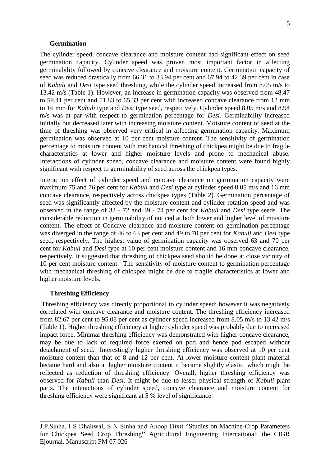#### **Germination**

The cylinder speed, concave clearance and moisture content had significant effect on seed germination capacity. Cylinder speed was proven most important factor in affecting germinability followed by concave clearance and moisture content. Germination capacity of seed was reduced drastically from 66.31 to 33.94 per cent and 67.94 to 42.39 per cent in case of *Kabuli* and *Desi* type seed threshing, while the cylinder speed increased from 8.05 m/s to 13.42 m/s (Table 1). However, an increase in germination capacity was observed from 48.47 to 59.41 per cent and 51.83 to 65.33 per cent with increased concave clearance from 12 mm to 16 mm for *Kabuli* type and *Desi* type seed, respectively. Cylinder speed 8.05 m/s and 8.94 m/s was at par with respect to germination percentage for *Desi*. Germinability increased initially but decreased later with increasing moisture content. Moisture content of seed at the time of threshing was observed very critical in affecting germination capacity. Maximum germination was observed at 10 per cent moisture content. The sensitivity of germination percentage to moisture content with mechanical threshing of chickpea might be due to fragile characteristics at lower and higher moisture levels and prone to mechanical abuse. Interactions of cylinder speed, concave clearance and moisture content were found highly significant with respect to germinability of seed across the chickpea types.

Interaction effect of cylinder speed and concave clearance on germination capacity were maximum 75 and 76 per cent for *Kabuli* and *Desi* type at cylinder speed 8.05 m/s and 16 mm concave clearance, respectively across chickpea types (Table 2). Germination percentage of seed was significantly affected by the moisture content and cylinder rotation speed and was observed in the range of 33 - 72 and 39 - 74 per cent for *Kabuli* and *Desi* type seeds. The considerable reduction in germinability of noticed at both lower and higher level of moisture content. The effect of Concave clearance and moisture content on germination percentage was diverged in the range of 46 to 63 per cent and 49 to 70 per cent for *Kabuli* and *Desi* type seed, respectively. The highest value of germination capacity was observed 63 and 70 per cent for *Kabuli* and *Desi* type at 10 per cent moisture content and 16 mm concave clearance, respectively. It suggested that threshing of chickpea seed should be done at close vicinity of 10 per cent moisture content. The sensitivity of moisture content to germination percentage with mechanical threshing of chickpea might be due to fragile characteristics at lower and higher moisture levels.

#### **Threshing Efficiency**

Threshing efficiency was directly proportional to cylinder speed; however it was negatively correlated with concave clearance and moisture content. The threshing efficiency increased from 82.67 per cent to 95.08 per cent as cylinder speed increased from 8.05 m/s to 13.42 m/s (Table 1). Higher threshing efficiency at higher cylinder speed was probably due to increased impact force. Minimal threshing efficiency was demonstrated with higher concave clearance, may be due to lack of required force exerted on pod and hence pod escaped without detachment of seed. Interestingly higher threshing efficiency was observed at 10 per cent moisture content than that of 8 and 12 per cent. At lower moisture content plant material became hard and also at higher moisture content it became slightly elastic, which might be reflected as reduction of threshing efficiency. Overall, higher threshing efficiency was observed for *Kabuli* than *Desi*. It might be due to lesser physical strength of *Kabuli* plant parts. The interactions of cylinder speed, concave clearance and moisture content for threshing efficiency were significant at 5 % level of significance.

J.P.Sinha, I S Dhaliwal, S N Sinha and Anoop Dixit "Studies on Machine-Crop Parameters for Chickpea Seed Crop Threshing**"** Agricultural Engineering International: the CIGR Ejournal. Manuscript PM 07 026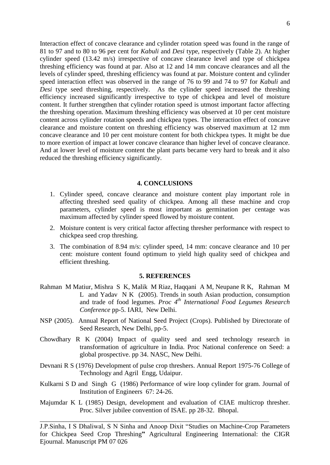Interaction effect of concave clearance and cylinder rotation speed was found in the range of 81 to 97 and to 80 to 96 per cent for *Kabuli* and *Desi* type, respectively (Table 2). At higher cylinder speed (13.42 m/s) irrespective of concave clearance level and type of chickpea threshing efficiency was found at par. Also at 12 and 14 mm concave clearances and all the levels of cylinder speed, threshing efficiency was found at par. Moisture content and cylinder speed interaction effect was observed in the range of 76 to 99 and 74 to 97 for *Kabuli* and *Desi* type seed threshing, respectively. As the cylinder speed increased the threshing efficiency increased significantly irrespective to type of chickpea and level of moisture content. It further strengthen that cylinder rotation speed is utmost important factor affecting the threshing operation. Maximum threshing efficiency was observed at 10 per cent moisture content across cylinder rotation speeds and chickpea types. The interaction effect of concave clearance and moisture content on threshing efficiency was observed maximum at 12 mm concave clearance and 10 per cent moisture content for both chickpea types. It might be due to more exertion of impact at lower concave clearance than higher level of concave clearance. And at lower level of moisture content the plant parts became very hard to break and it also reduced the threshing efficiency significantly.

#### **4. CONCLUSIONS**

- 1. Cylinder speed, concave clearance and moisture content play important role in affecting threshed seed quality of chickpea. Among all these machine and crop parameters, cylinder speed is most important as germination per centage was maximum affected by cylinder speed flowed by moisture content.
- 2. Moisture content is very critical factor affecting thresher performance with respect to chickpea seed crop threshing.
- 3. The combination of 8.94 m/s: cylinder speed, 14 mm: concave clearance and 10 per cent: moisture content found optimum to yield high quality seed of chickpea and efficient threshing.

#### **5. REFERENCES**

- Rahman M Matiur, Mishra S K, Malik M Riaz, Haqqani A M, Neupane R K, Rahman M L and Yadav N K (2005). Trends in south Asian production, consumption and trade of food legumes. *Proc 4th International Food Legumes Research Conference* pp-5. IARI, New Delhi.
- NSP (2005). Annual Report of National Seed Project (Crops). Published by Directorate of Seed Research, New Delhi, pp-5.
- Chowdhary R K (2004) Impact of quality seed and seed technology research in transformation of agriculture in India. Proc National conference on Seed: a global prospective. pp 34. NASC, New Delhi.
- Devnani R S (1976) Development of pulse crop threshers. Annual Report 1975-76 College of Technology and Agril Engg, Udaipur.
- Kulkarni S D and Singh G (1986) Performance of wire loop cylinder for gram. Journal of Institution of Engineers 67: 24-26.
- Majumdar K L (1985) Design, development and evaluation of CIAE multicrop thresher. Proc. Silver jubilee convention of ISAE. pp 28-32. Bhopal.

\_\_\_\_\_\_\_\_\_\_\_\_\_\_\_\_\_\_\_\_\_\_\_\_\_\_\_\_\_\_\_\_\_\_\_\_\_\_\_\_\_\_\_\_\_\_\_\_\_\_\_\_\_\_\_\_\_\_\_\_\_\_\_\_\_\_\_\_\_

J.P.Sinha, I S Dhaliwal, S N Sinha and Anoop Dixit "Studies on Machine-Crop Parameters for Chickpea Seed Crop Threshing**"** Agricultural Engineering International: the CIGR Ejournal. Manuscript PM 07 026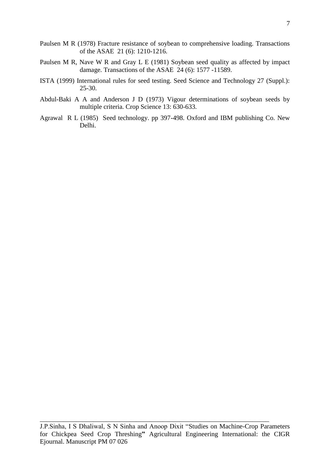- Paulsen M R (1978) Fracture resistance of soybean to comprehensive loading. Transactions of the ASAE 21 (6): 1210-1216.
- Paulsen M R, Nave W R and Gray L E (1981) Soybean seed quality as affected by impact damage. Transactions of the ASAE 24 (6): 1577 -11589.
- ISTA (1999) International rules for seed testing. Seed Science and Technology 27 (Suppl.): 25-30.
- Abdul-Baki A A and Anderson J D (1973) Vigour determinations of soybean seeds by multiple criteria. Crop Science 13: 630-633.
- Agrawal R L (1985) Seed technology. pp 397-498. Oxford and IBM publishing Co. New Delhi.

J.P.Sinha, I S Dhaliwal, S N Sinha and Anoop Dixit "Studies on Machine-Crop Parameters for Chickpea Seed Crop Threshing**"** Agricultural Engineering International: the CIGR Ejournal. Manuscript PM 07 026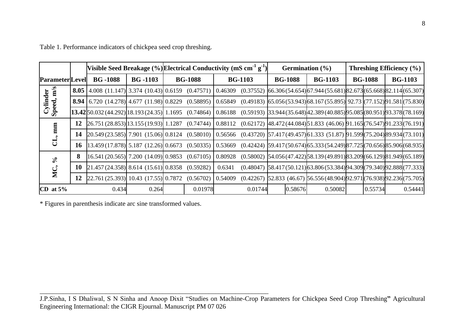|                        |                                                                           |                                                                                                                                                                                                                  |       | Visible Seed Breakage (%) Electrical Conductivity (mS cm <sup>-1</sup> g <sup>-1</sup> ) |         |                |                                                                           |                | Germination $(\% )$ |                |         | <b>Threshing Efficiency</b> $(\% )$ |         |  |         |
|------------------------|---------------------------------------------------------------------------|------------------------------------------------------------------------------------------------------------------------------------------------------------------------------------------------------------------|-------|------------------------------------------------------------------------------------------|---------|----------------|---------------------------------------------------------------------------|----------------|---------------------|----------------|---------|-------------------------------------|---------|--|---------|
|                        | $BG - 1103$<br><b>BG-1088</b><br><b>BG-1088</b><br><b>Parameter</b> Level |                                                                                                                                                                                                                  |       | <b>BG-1103</b>                                                                           |         | <b>BG-1088</b> |                                                                           | <b>BG-1103</b> |                     | <b>BG-1088</b> |         | <b>BG-1103</b>                      |         |  |         |
| Cylinder<br>Speed, m/s |                                                                           | <b>8.05</b> 4.008 (11.147) 3.374 (10.43) 0.6159 (0.47571) 0.46309 (0.37552) 66.306(54.654) 67.944(55.681) 82.673 (65.668) 82.114 (65.307)                                                                        |       |                                                                                          |         |                |                                                                           |                |                     |                |         |                                     |         |  |         |
|                        |                                                                           | 8.94 6.720 (14.278) 4.677 (11.98) 0.8229 (0.58895) 0.65849 (0.49183) 65.056 (53.943) 68.167 (55.895) 92.73 (77.152) 91.581 (75.830)                                                                              |       |                                                                                          |         |                |                                                                           |                |                     |                |         |                                     |         |  |         |
|                        |                                                                           | $\frac{13.42}{50.032}(44.292)\left[18.193(24.35)\right]1.1695$ (0.74864) $\left[0.86188\right]$ (0.59193) $\left[33.944(35.648)\right]42.389(40.885)\left[95.085\right]$ (80.951) $\left[93.378\right]$ (78.169) |       |                                                                                          |         |                |                                                                           |                |                     |                |         |                                     |         |  |         |
|                        | 12                                                                        | $[26.751 (28.853)]$ 13.155(19.93) 1.1287 (0.74744) $[0.88112 (0.62172)$ $[48.472 (44.084)]$ 51.833 (46.06) 91.165(76.547) 91.233 (76.191)                                                                        |       |                                                                                          |         |                |                                                                           |                |                     |                |         |                                     |         |  |         |
|                        | 14                                                                        | $[20.549 (23.585)]$ 7.901 (15.06) $[0.8124 (0.58010) [0.56566 (0.43720) [57.417 (49.457)]61.333 (51.87) [91.599](75.204)]89.934[(73.101)$                                                                        |       |                                                                                          |         |                |                                                                           |                |                     |                |         |                                     |         |  |         |
|                        | 16                                                                        | $(13.459(17.878)$ 5.187 (12.26) 0.6673 (0.50335) 0.53669 (0.42424) 59.417(50.674) 65.333(54.249) 87.725 (70.656) 85.906 (68.935)                                                                                 |       |                                                                                          |         |                |                                                                           |                |                     |                |         |                                     |         |  |         |
| $\epsilon$<br>MC,      |                                                                           | $\left  16.541 (20.565) \right  7.200 (14.09) \left  0.9853 (0.67105) \right  0.80928 (0.58002) \left  54.056 (47.422) \right  58.139 (49.891) \left  83.209 \right  (66.129) \left  81.949 \right  (65.189)$    |       |                                                                                          |         |                |                                                                           |                |                     |                |         |                                     |         |  |         |
|                        | 10                                                                        | $[21.457(24.358) \ 8.614(15.61) \ 0.8358(0.59282)$                                                                                                                                                               |       |                                                                                          |         | 0.6341         | $(0.48047)$ 58.417(50.121) 63.806(53.384) 94.309 (79.340) 92.888 (77.333) |                |                     |                |         |                                     |         |  |         |
|                        | 12                                                                        | $[22.761 (25.393)]$ 10.43 (17.55) 0.7872 (0.56702) 0.54009                                                                                                                                                       |       |                                                                                          |         |                | $(0.42267)$ 52.833 (46.67) 56.556(48.904) 92.971 (76.938) 92.236 (75.705) |                |                     |                |         |                                     |         |  |         |
| CD at $5\%$            |                                                                           | 0.434                                                                                                                                                                                                            | 0.264 |                                                                                          | 0.01978 |                | 0.01744                                                                   |                | 0.58676             |                | 0.50082 |                                     | 0.55734 |  | 0.54441 |

Table 1. Performance indicators of chickpea seed crop threshing.

\* Figures in parenthesis indicate arc sine transformed values.

J.P.Sinha, I S Dhaliwal, S N Sinha and Anoop Dixit "Studies on Machine-Crop Parameters for Chickpea Seed Crop Threshing**"** Agricultural Engineering International: the CIGR Ejournal. Manuscript PM 07 026